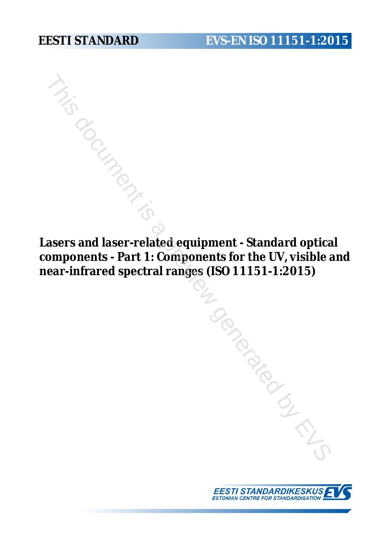# **EESTI STANDARD EVS-EN ISO 11151-1:2015**

**Lasers and laser-related equipment - Standard optical components - Part 1: Components for the UV, visible and near-infrared spectral ranges (ISO 11151-1:2015)**



Tombara du Caracteries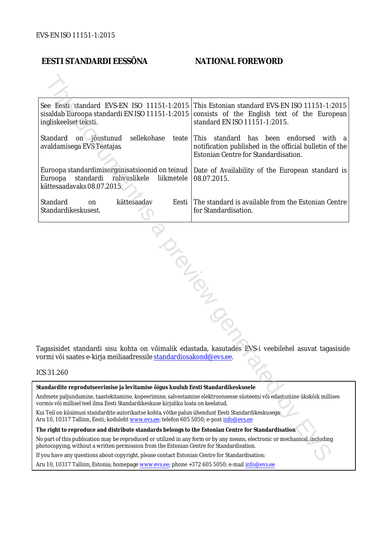# **EESTI STANDARDI EESSÕNA NATIONAL FOREWORD**

| See Eesti standard EVS-EN ISO 11151-1:2015<br>sisaldab Euroopa standardi EN ISO 11151-1:2015<br>ingliskeelset teksti.                                                                                                  | This Estonian standard EVS-EN ISO 11151-1:2015<br>consists of the English text of the European<br>standard EN ISO 11151-1:2015.             |  |  |  |  |
|------------------------------------------------------------------------------------------------------------------------------------------------------------------------------------------------------------------------|---------------------------------------------------------------------------------------------------------------------------------------------|--|--|--|--|
| Standard<br>sellekohase<br>on jõustunud<br>teate<br>avaldamisega EVS Teatajas                                                                                                                                          | This standard has been endorsed<br>with a<br>notification published in the official bulletin of the<br>Estonian Centre for Standardisation. |  |  |  |  |
| Euroopa standardimisorganisatsioonid on teinud<br>Euroopa<br>standardi<br>rahvuslikele<br>liikmetele<br>kättesaadavaks 08.07.2015.                                                                                     | Date of Availability of the European standard is<br>08.07.2015.                                                                             |  |  |  |  |
| Standard<br>kättesaadav<br>Eesti<br>on<br>Standardikeskusest.                                                                                                                                                          | The standard is available from the Estonian Centre<br>for Standardisation.                                                                  |  |  |  |  |
| Tagasisidet standardi sisu kohta on võimalik edastada, kasutades EVS-i veebilehel asuvat tagasiside<br>vormi või saates e-kirja meiliaadressile standardiosakond@evs.ee.                                               |                                                                                                                                             |  |  |  |  |
| ICS 31.260                                                                                                                                                                                                             |                                                                                                                                             |  |  |  |  |
| Standardite reprodutseerimise ja levitamise õigus kuulub Eesti Standardikeskusele                                                                                                                                      |                                                                                                                                             |  |  |  |  |
| Andmete paljundamine, taastekitamine, kopeerimine, salvestamine elektroonsesse süsteemi või edastamine ükskõik millises<br>vormis või millisel teel ilma Eesti Standardikeskuse kirjaliku loata on keelatud.           |                                                                                                                                             |  |  |  |  |
| Kui Teil on küsimusi standardite autorikaitse kohta, võtke palun ühendust Eesti Standardikeskusega:<br>Aru 10, 10317 Tallinn, Eesti; koduleht www.evs.ee; telefon 605 5050; e-post info@evs.ee                         |                                                                                                                                             |  |  |  |  |
| The right to reproduce and distribute standards belongs to the Estonian Centre for Standardisation                                                                                                                     |                                                                                                                                             |  |  |  |  |
| No part of this publication may be reproduced or utilized in any form or by any means, electronic or mechanical, including<br>photocopying, without a written permission from the Estonian Centre for Standardisation. |                                                                                                                                             |  |  |  |  |
| If you have any questions about copyright, please contact Estonian Centre for Standardisation:                                                                                                                         |                                                                                                                                             |  |  |  |  |
|                                                                                                                                                                                                                        |                                                                                                                                             |  |  |  |  |

#### ICS 31.260

Aru 10, 10317 Tallinn, Estonia; homepage [www.evs.ee](http://www.evs.ee/); phone +372 605 5050; e-mail info@evs.ee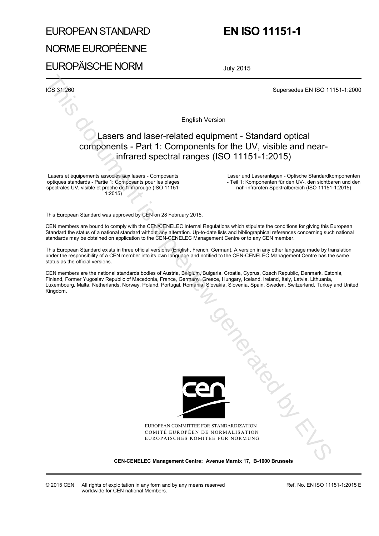# EUROPEAN STANDARD

# **EN ISO 11151-1**

NORME EUROPÉENNE EUROPÄISCHE NORM

July 2015

ICS 31.260 Supersedes EN ISO 11151-1:2000

English Version

# Lasers and laser-related equipment - Standard optical components - Part 1: Components for the UV, visible and nearinfrared spectral ranges (ISO 11151-1:2015)

Lasers et équipements associés aux lasers - Composants optiques standards - Partie 1: Composants pour les plages spectrales UV, visible et proche de l'infrarouge (ISO 11151-  $1:2015$ 

 Laser und Laseranlagen - Optische Standardkomponenten - Teil 1: Komponenten für den UV-, den sichtbaren und den nah-infraroten Spektralbereich (ISO 11151-1:2015)

This European Standard was approved by CEN on 28 February 2015.

CEN members are bound to comply with the CEN/CENELEC Internal Regulations which stipulate the conditions for giving this European Standard the status of a national standard without any alteration. Up-to-date lists and bibliographical references concerning such national standards may be obtained on application to the CEN-CENELEC Management Centre or to any CEN member.

This European Standard exists in three official versions (English, French, German). A version in any other language made by translation under the responsibility of a CEN member into its own language and notified to the CEN-CENELEC Management Centre has the same status as the official versions.

CEN members are the national standards bodies of Austria, Belgium, Bulgaria, Croatia, Cyprus, Czech Republic, Denmark, Estonia, Finland, Former Yugoslav Republic of Macedonia, France, Germany, Greece, Hungary, Iceland, Ireland, Italy, Latvia, Lithuania, Luxembourg, Malta, Netherlands, Norway, Poland, Portugal, Romania, Slovakia, Slovenia, Spain, Sweden, Switzerland, Turkey and United Kingdom.



EUROPEAN COMMITTEE FOR STANDARDIZATION COMITÉ EUROPÉEN DE NORMALISATION EUROPÄISCHES KOMITEE FÜR NORMUNG

**CEN-CENELEC Management Centre: Avenue Marnix 17, B-1000 Brussels**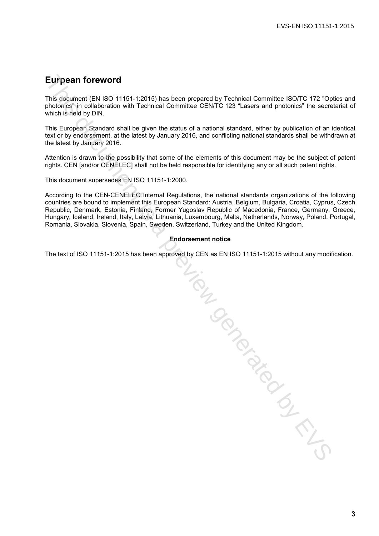# **Eurpean foreword**

This document (EN ISO 11151-1:2015) has been prepared by Technical Committee ISO/TC 172 "Optics and photonics" in collaboration with Technical Committee CEN/TC 123 "Lasers and photonics" the secretariat of which is held by DIN.

This European Standard shall be given the status of a national standard, either by publication of an identical text or by endorsement, at the latest by January 2016, and conflicting national standards shall be withdrawn at the latest by January 2016.

Attention is drawn to the possibility that some of the elements of this document may be the subject of patent rights. CEN [and/or CENELEC] shall not be held responsible for identifying any or all such patent rights.

This document supersedes EN ISO 11151-1:2000.

According to the CEN-CENELEC Internal Regulations, the national standards organizations of the following countries are bound to implement this European Standard: Austria, Belgium, Bulgaria, Croatia, Cyprus, Czech Republic, Denmark, Estonia, Finland, Former Yugoslav Republic of Macedonia, France, Germany, Greece, Hungary, Iceland, Ireland, Italy, Latvia, Lithuania, Luxembourg, Malta, Netherlands, Norway, Poland, Portugal, Romania, Slovakia, Slovenia, Spain, Sweden, Switzerland, Turkey and the United Kingdom.

#### **Endorsement notice**

The text of ISO 11151-1:2015 has been approved by CEN as EN ISO 11151-1:2015 without any modification. This document is a previous contract of the CDS of the CDS of the CDS of the CDS of the CDS of the CDS of the CDS of the CDS of the CDS of the CDS of the CDS of the CDS of the CDS of the CDS of the CDS of the CDS of the CD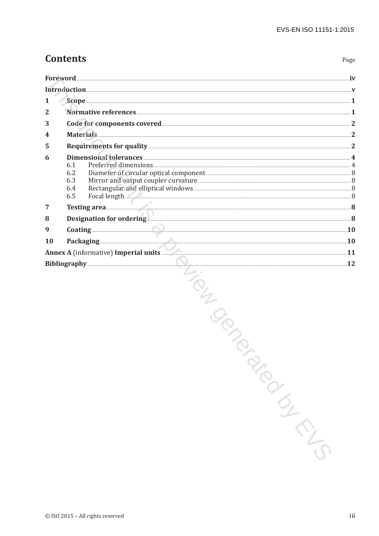Page

# **Contents**

| <b>Foreword</b> |                                                                                                                                                                                                                                                         |                 |  |  |
|-----------------|---------------------------------------------------------------------------------------------------------------------------------------------------------------------------------------------------------------------------------------------------------|-----------------|--|--|
|                 | Introduction with the contract of the contract of the contract of the contract of the contract of the contract of the contract of the contract of the contract of the contract of the contract of the contract of the contract                          |                 |  |  |
|                 |                                                                                                                                                                                                                                                         |                 |  |  |
|                 |                                                                                                                                                                                                                                                         |                 |  |  |
| 3               | Code for components covered <b>Executive Contact Contact Contact Contact Contact Contact Contact Contact Contact Contact Contact Contact Contact Contact Contact Contact Contact Contact Contact Contact Contact Contact Contact</b>                    |                 |  |  |
|                 |                                                                                                                                                                                                                                                         |                 |  |  |
| 5               | Requirements for quality <b>Exercise According to the Contract Office</b> According to the According of the According of the According of the According of the According of the According of the According of the According of the                      |                 |  |  |
| 6               | Dimensional tolerances<br>Preferred dimensions 4<br>6.1<br>6.2<br>6.3<br>6.4<br>Focal length<br>6.5                                                                                                                                                     |                 |  |  |
| $\overline{7}$  |                                                                                                                                                                                                                                                         |                 |  |  |
| 8               | Designation for ordering <b>Exercise Construction</b> 8                                                                                                                                                                                                 |                 |  |  |
| 9               | <b>Coating Coating Coating Commission Constant Construction Coating Coating Coating Coating Coating Commission</b>                                                                                                                                      | $\overline{10}$ |  |  |
| 10              | Packaging <u>Electronic Communications</u> and the set of the set of the set of the set of the set of the set of the set of the set of the set of the set of the set of the set of the set of the set of the set of the set of the                      |                 |  |  |
|                 | Annex A (informative) Imperial units <b>Annex A</b> (informative) Imperial units <b>Annex A</b> (informative) Imperial units <b>Annex A</b> (informative) Imperial units <b>Annex A</b> (informative) Imperial units <b>A</b> (informative) Imperial un |                 |  |  |
|                 |                                                                                                                                                                                                                                                         | 12              |  |  |

TON DONONOUSLAND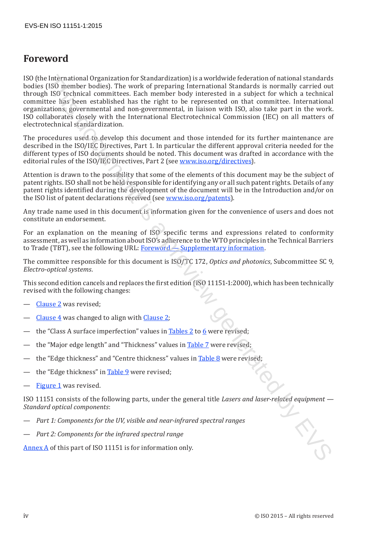# **Foreword**

ISO (the International Organization for Standardization) is a worldwide federation of national standards bodies (ISO member bodies). The work of preparing International Standards is normally carried out through ISO technical committees. Each member body interested in a subject for which a technical committee has been established has the right to be represented on that committee. International organizations, governmental and non-governmental, in liaison with ISO, also take part in the work. ISO collaborates closely with the International Electrotechnical Commission (IEC) on all matters of electrotechnical standardization. is international Ofrganisation for Standardization) is a wonidate detection of rational strandardization (SIS) circuite between the standardization of rational strandardization of the standardization of the standardizatio

The procedures used to develop this document and those intended for its further maintenance are described in the ISO/IEC Directives, Part 1. In particular the different approval criteria needed for the different types of ISO documents should be noted. This document was drafted in accordance with the editorial rules of the ISO/IEC Directives, Part 2 (see www.iso.org/directives).

Attention is drawn to the possibility that some of the elements of this document may be the subject of patent rights. ISO shall not be held responsible for identifying any or all such patent rights. Details of any patent rights identified during the development of the document will be in the Introduction and/or on the ISO list of patent declarations received (see www.iso.org/patents).

Any trade name used in this document is information given for the convenience of users and does not constitute an endorsement.

For an explanation on the meaning of ISO specific terms and expressions related to conformity assessment, as well as information about ISO's adherence to the WTO principles in the Technical Barriers to Trade (TBT), see the following URL: Foreword – Supplementary information.

The committee responsible for this document is ISO/TC 172, *Optics and photonics*, Subcommittee SC 9, *Electro-optical systems*.

This second edition cancels and replaces the first edition (ISO 11151-1:2000), which has been technically revised with the following changes:

- Clause 2 was revised;
- Clause  $4$  was changed to align with Clause 2:
- the "Class A surface imperfection" values in Tables 2 to 6 were revised;
- the "Major edge length" and "Thickness" values in Table 7 were revised;
- the "Edge thickness" and "Centre thickness" values in Table 8 were revised;
- the "Edge thickness" in Table 9 were revised;
- Figure 1 was revised.

ISO 11151 consists of the following parts, under the general title *Lasers and laser-related equipment — Standard optical components*:

- *Part 1: Components for the UV, visible and near-infrared spectral ranges*
- *Part 2: Components for the infrared spectral range*

Annex A of this part of ISO 11151 is for information only.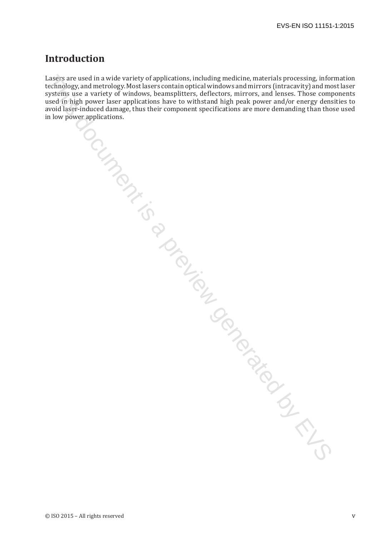# **Introduction**

Lasers are used in a wide variety of applications, including medicine, materials processing, information technology, and metrology. Most lasers contain optical windows and mirrors (intracavity) and most laser technology, and metrology. Most lasers contain optical windows and mirrors (intracavity) and most laser systems use a variety of windows, beamsplitters, deflectors, mirrors, and lenses. Those components used in high power laser applications have to withstand high peak power and/or energy densities to avoid laser-induced damage, thus their component specifications are more demanding than those used in low power applications. The seizes are used in a wide variety of opplications, including medicine, meanterials processing, into the contribution of the stress consideration of the vector systems is a preview generated by the sused of the propose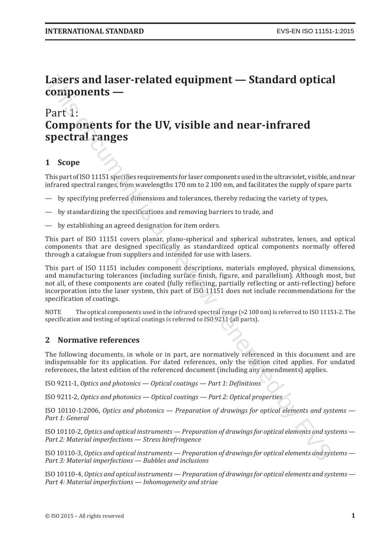# **Lasers and laser-related equipment — Standard optical components —**

# Part 1: **Components for the UV, visible and near-infrared spectral ranges**

# **1 Scope**

This part of ISO 11151 specifies requirements for laser components used in the ultraviolet, visible, and near infrared spectral ranges, from wavelengths 170 nm to 2 100 nm, and facilitates the supply of spare parts

- by specifying preferred dimensions and tolerances, thereby reducing the variety of types,
- by standardizing the specifications and removing barriers to trade, and
- by establishing an agreed designation for item orders.

This part of ISO 11151 covers planar, plano-spherical and spherical substrates, lenses, and optical components that are designed specifically as standardized optical components normally offered through a catalogue from suppliers and intended for use with lasers.

This part of ISO 11151 includes component descriptions, materials employed, physical dimensions, and manufacturing tolerances (including surface finish, figure, and parallelism). Although most, but not all, of these components are coated (fully reflecting, partially reflecting or anti-reflecting) before incorporation into the laser system, this part of ISO 11151 does not include recommendations for the specification of coatings. **Lassers and laser-related equipment — Standard optical<br>
Components —<br>
Part 1:**<br>
Part 1:<br> **Sopher and Source and Source Components** for the UV, visible and near-infrared<br> **Spectral ranges**<br> **1** Soope<br>
This part of ISO 111

NOTE The optical components used in the infrared spectral range (>2 100 nm) is referred to ISO 11151-2. The specification and testing of optical coatings is referred to ISO 9211 (all parts).

#### **2 Normative references**

The following documents, in whole or in part, are normatively referenced in this document and are indispensable for its application. For dated references, only the edition cited applies. For undated references, the latest edition of the referenced document (including any amendments) applies.

ISO 9211-1, *Optics and photonics — Optical coatings — Part 1: Definitions*

ISO 9211-2, *Optics and photonics — Optical coatings — Part 2: Optical properties*

ISO 10110-1:2006, *Optics and photonics — Preparation of drawings for optical elements and systems — Part 1: General*

ISO 10110-2, *Optics and optical instruments — Preparation of drawings for optical elements and systems — Part 2: Material imperfections — Stress birefringence*

ISO 10110-3, *Optics and optical instruments — Preparation of drawings for optical elements and systems — Part 3: Material imperfections — Bubbles and inclusions*

ISO 10110-4, *Optics and optical instruments — Preparation of drawings for optical elements and systems — Part 4: Material imperfections — Inhomogeneity and striae*